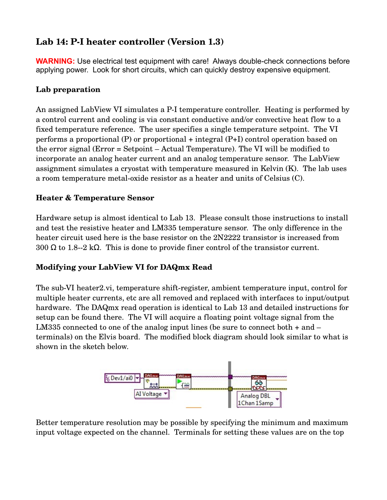# **Lab 14: PI heater controller (Version 1.3)**

**WARNING:** Use electrical test equipment with care! Always double-check connections before applying power. Look for short circuits, which can quickly destroy expensive equipment.

## **Lab preparation**

An assigned LabView VI simulates a P-I temperature controller. Heating is performed by a control current and cooling is via constant conductive and/or convective heat flow to a fixed temperature reference. The user specifies a single temperature setpoint. The VI performs a proportional (P) or proportional + integral (P+I) control operation based on the error signal (Error = Setpoint – Actual Temperature). The VI will be modified to incorporate an analog heater current and an analog temperature sensor. The LabView assignment simulates a cryostat with temperature measured in Kelvin (K). The lab uses a room temperature metal-oxide resistor as a heater and units of Celsius (C).

## **Heater & Temperature Sensor**

Hardware setup is almost identical to Lab 13. Please consult those instructions to install and test the resistive heater and LM335 temperature sensor. The only difference in the heater circuit used here is the base resistor on the 2N2222 transistor is increased from 300  $\Omega$  to 1.8--2 k $\Omega$ . This is done to provide finer control of the transistor current.

#### **Modifying your LabView VI for DAQmx Read**

The sub-VI heater2.vi, temperature shift-register, ambient temperature input, control for multiple heater currents, etc are all removed and replaced with interfaces to input/output hardware. The DAQmx read operation is identical to Lab 13 and detailed instructions for setup can be found there. The VI will acquire a floating point voltage signal from the LM335 connected to one of the analog input lines (be sure to connect both + and – terminals) on the Elvis board. The modified block diagram should look similar to what is shown in the sketch below.



Better temperature resolution may be possible by specifying the minimum and maximum input voltage expected on the channel. Terminals for setting these values are on the top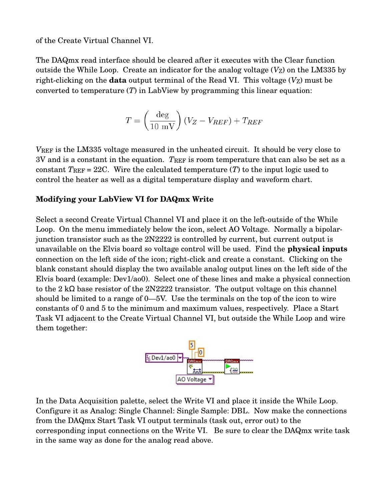of the Create Virtual Channel VI.

The DAQmx read interface should be cleared after it executes with the Clear function outside the While Loop. Create an indicator for the analog voltage  $(V<sub>Z</sub>)$  on the LM335 by right-clicking on the **data** output terminal of the Read VI. This voltage  $(V_Z)$  must be converted to temperature (*T*) in LabView by programming this linear equation:

$$
T = \left(\frac{\text{deg}}{10 \text{ mV}}\right)(V_Z - V_{REF}) + T_{REF}
$$

*V*REF is the LM335 voltage measured in the unheated circuit. It should be very close to 3V and is a constant in the equation. *T*REF is room temperature that can also be set as a constant  $T_{REF} = 22C$ . Wire the calculated temperature  $(T)$  to the input logic used to control the heater as well as a digital temperature display and waveform chart.

#### **Modifying your LabView VI for DAQmx Write**

Select a second Create Virtual Channel VI and place it on the left-outside of the While Loop. On the menu immediately below the icon, select AO Voltage. Normally a bipolarjunction transistor such as the 2N2222 is controlled by current, but current output is unavailable on the Elvis board so voltage control will be used. Find the **physical inputs** connection on the left side of the icon; right-click and create a constant. Clicking on the blank constant should display the two available analog output lines on the left side of the Elvis board (example: Dev1/ao0). Select one of these lines and make a physical connection to the 2 kΩ base resistor of the 2N2222 transistor. The output voltage on this channel should be limited to a range of 0—5V. Use the terminals on the top of the icon to wire constants of 0 and 5 to the minimum and maximum values, respectively. Place a Start Task VI adjacent to the Create Virtual Channel VI, but outside the While Loop and wire them together:



In the Data Acquisition palette, select the Write VI and place it inside the While Loop. Configure it as Analog: Single Channel: Single Sample: DBL. Now make the connections from the DAQmx Start Task VI output terminals (task out, error out) to the corresponding input connections on the Write VI. Be sure to clear the DAQmx write task in the same way as done for the analog read above.